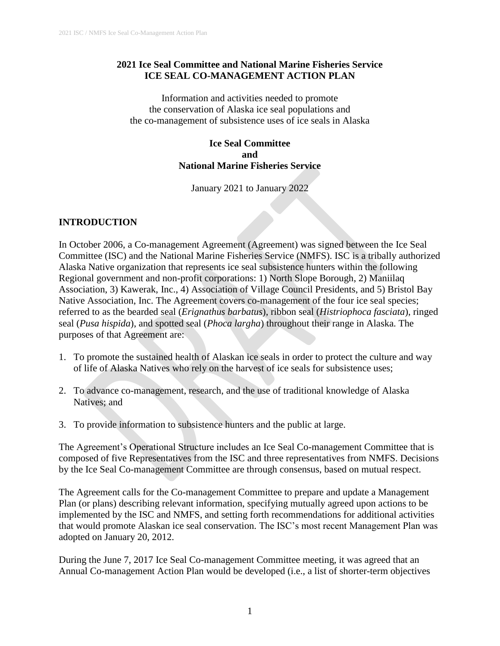# **2021 Ice Seal Committee and National Marine Fisheries Service ICE SEAL CO-MANAGEMENT ACTION PLAN**

Information and activities needed to promote the conservation of Alaska ice seal populations and the co-management of subsistence uses of ice seals in Alaska

# **Ice Seal Committee and National Marine Fisheries Service**

January 2021 to January 2022

# **INTRODUCTION**

In October 2006, a Co-management Agreement (Agreement) was signed between the Ice Seal Committee (ISC) and the National Marine Fisheries Service (NMFS). ISC is a tribally authorized Alaska Native organization that represents ice seal subsistence hunters within the following Regional government and non-profit corporations: 1) North Slope Borough, 2) Maniilaq Association, 3) Kawerak, Inc., 4) Association of Village Council Presidents, and 5) Bristol Bay Native Association, Inc. The Agreement covers co-management of the four ice seal species; referred to as the bearded seal (*Erignathus barbatus*), ribbon seal (*Histriophoca fasciata*), ringed seal (*Pusa hispida*), and spotted seal (*Phoca largha*) throughout their range in Alaska. The purposes of that Agreement are:

- 1. To promote the sustained health of Alaskan ice seals in order to protect the culture and way of life of Alaska Natives who rely on the harvest of ice seals for subsistence uses;
- 2. To advance co-management, research, and the use of traditional knowledge of Alaska Natives; and
- 3. To provide information to subsistence hunters and the public at large.

The Agreement's Operational Structure includes an Ice Seal Co-management Committee that is composed of five Representatives from the ISC and three representatives from NMFS. Decisions by the Ice Seal Co-management Committee are through consensus, based on mutual respect.

The Agreement calls for the Co-management Committee to prepare and update a Management Plan (or plans) describing relevant information, specifying mutually agreed upon actions to be implemented by the ISC and NMFS, and setting forth recommendations for additional activities that would promote Alaskan ice seal conservation. The ISC's most recent Management Plan was adopted on January 20, 2012.

During the June 7, 2017 Ice Seal Co-management Committee meeting, it was agreed that an Annual Co-management Action Plan would be developed (i.e., a list of shorter-term objectives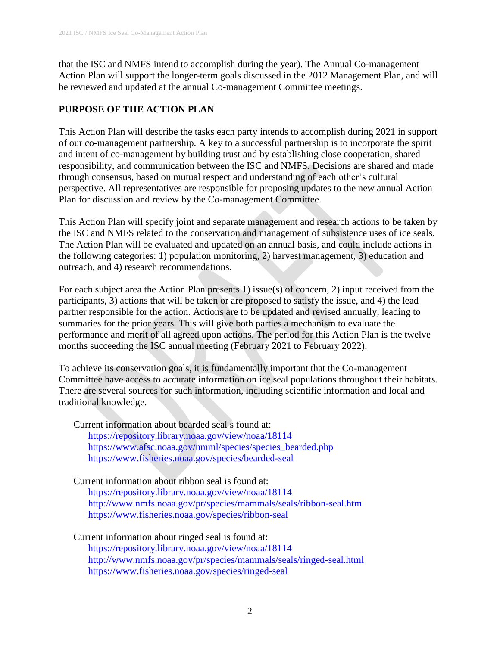that the ISC and NMFS intend to accomplish during the year). The Annual Co-management Action Plan will support the longer-term goals discussed in the 2012 Management Plan, and will be reviewed and updated at the annual Co-management Committee meetings.

# **PURPOSE OF THE ACTION PLAN**

This Action Plan will describe the tasks each party intends to accomplish during 2021 in support of our co-management partnership. A key to a successful partnership is to incorporate the spirit and intent of co-management by building trust and by establishing close cooperation, shared responsibility, and communication between the ISC and NMFS. Decisions are shared and made through consensus, based on mutual respect and understanding of each other's cultural perspective. All representatives are responsible for proposing updates to the new annual Action Plan for discussion and review by the Co-management Committee.

This Action Plan will specify joint and separate management and research actions to be taken by the ISC and NMFS related to the conservation and management of subsistence uses of ice seals. The Action Plan will be evaluated and updated on an annual basis, and could include actions in the following categories: 1) population monitoring, 2) harvest management, 3) education and outreach, and 4) research recommendations.

For each subject area the Action Plan presents 1) issue(s) of concern, 2) input received from the participants, 3) actions that will be taken or are proposed to satisfy the issue, and 4) the lead partner responsible for the action. Actions are to be updated and revised annually, leading to summaries for the prior years. This will give both parties a mechanism to evaluate the performance and merit of all agreed upon actions. The period for this Action Plan is the twelve months succeeding the ISC annual meeting (February 2021 to February 2022).

To achieve its conservation goals, it is fundamentally important that the Co-management Committee have access to accurate information on ice seal populations throughout their habitats. There are several sources for such information, including scientific information and local and traditional knowledge.

Current information about bearded seal s found at: <https://repository.library.noaa.gov/view/noaa/18114> [https://www.afsc.noaa.gov/nmml/species/species\\_bearded.php](https://www.afsc.noaa.gov/nmml/species/species_bearded.php) <https://www.fisheries.noaa.gov/species/bearded-seal>

Current information about ribbon seal is found at: <https://repository.library.noaa.gov/view/noaa/18114> <http://www.nmfs.noaa.gov/pr/species/mammals/seals/ribbon-seal.htm> <https://www.fisheries.noaa.gov/species/ribbon-seal>

Current information about ringed seal is found at: <https://repository.library.noaa.gov/view/noaa/18114> <http://www.nmfs.noaa.gov/pr/species/mammals/seals/ringed-seal.html> <https://www.fisheries.noaa.gov/species/ringed-seal>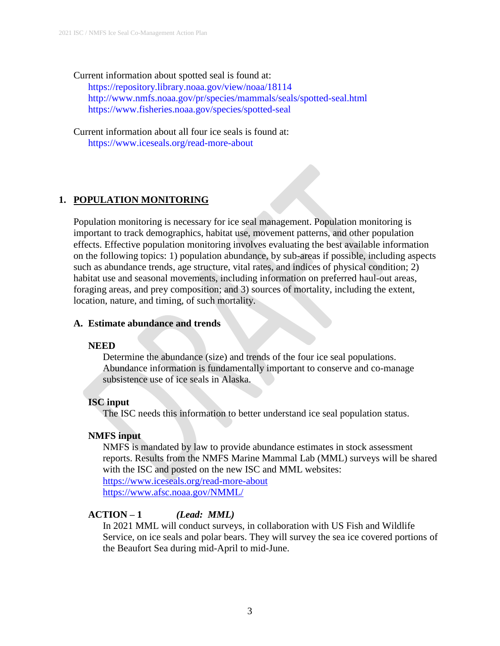Current information about spotted seal is found at: <https://repository.library.noaa.gov/view/noaa/18114> <http://www.nmfs.noaa.gov/pr/species/mammals/seals/spotted-seal.html> <https://www.fisheries.noaa.gov/species/spotted-seal>

Current information about all four ice seals is found at: <https://www.iceseals.org/read-more-about>

# **1. POPULATION MONITORING**

Population monitoring is necessary for ice seal management. Population monitoring is important to track demographics, habitat use, movement patterns, and other population effects. Effective population monitoring involves evaluating the best available information on the following topics: 1) population abundance, by sub-areas if possible, including aspects such as abundance trends, age structure, vital rates, and indices of physical condition; 2) habitat use and seasonal movements, including information on preferred haul-out areas, foraging areas, and prey composition; and 3) sources of mortality, including the extent, location, nature, and timing, of such mortality.

## **A. Estimate abundance and trends**

#### **NEED**

Determine the abundance (size) and trends of the four ice seal populations. Abundance information is fundamentally important to conserve and co-manage subsistence use of ice seals in Alaska.

## **ISC input**

The ISC needs this information to better understand ice seal population status.

## **NMFS input**

NMFS is mandated by law to provide abundance estimates in stock assessment reports. Results from the NMFS Marine Mammal Lab (MML) surveys will be shared with the ISC and posted on the new ISC and MML websites: <https://www.iceseals.org/read-more-about> <https://www.afsc.noaa.gov/NMML/>

## **ACTION – 1** *(Lead: MML)*

In 2021 MML will conduct surveys, in collaboration with US Fish and Wildlife Service, on ice seals and polar bears. They will survey the sea ice covered portions of the Beaufort Sea during mid-April to mid-June.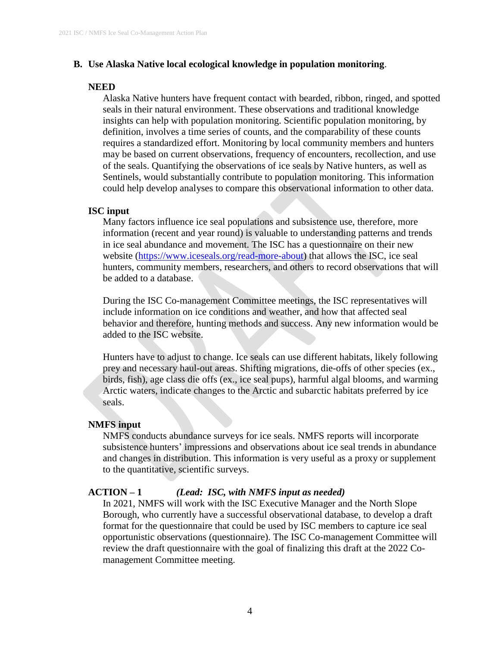#### **B. Use Alaska Native local ecological knowledge in population monitoring**.

#### **NEED**

Alaska Native hunters have frequent contact with bearded, ribbon, ringed, and spotted seals in their natural environment. These observations and traditional knowledge insights can help with population monitoring. Scientific population monitoring, by definition, involves a time series of counts, and the comparability of these counts requires a standardized effort. Monitoring by local community members and hunters may be based on current observations, frequency of encounters, recollection, and use of the seals. Quantifying the observations of ice seals by Native hunters, as well as Sentinels, would substantially contribute to population monitoring. This information could help develop analyses to compare this observational information to other data.

#### **ISC input**

Many factors influence ice seal populations and subsistence use, therefore, more information (recent and year round) is valuable to understanding patterns and trends in ice seal abundance and movement. The ISC has a questionnaire on their new website [\(https://www.iceseals.org/read-more-about\)](https://www.iceseals.org/read-more-about) that allows the ISC, ice seal hunters, community members, researchers, and others to record observations that will be added to a database.

During the ISC Co-management Committee meetings, the ISC representatives will include information on ice conditions and weather, and how that affected seal behavior and therefore, hunting methods and success. Any new information would be added to the ISC website.

Hunters have to adjust to change. Ice seals can use different habitats, likely following prey and necessary haul-out areas. Shifting migrations, die-offs of other species (ex., birds, fish), age class die offs (ex., ice seal pups), harmful algal blooms, and warming Arctic waters, indicate changes to the Arctic and subarctic habitats preferred by ice seals.

## **NMFS input**

NMFS conducts abundance surveys for ice seals. NMFS reports will incorporate subsistence hunters' impressions and observations about ice seal trends in abundance and changes in distribution. This information is very useful as a proxy or supplement to the quantitative, scientific surveys.

## **ACTION – 1** *(Lead: ISC, with NMFS input as needed)*

In 2021, NMFS will work with the ISC Executive Manager and the North Slope Borough, who currently have a successful observational database, to develop a draft format for the questionnaire that could be used by ISC members to capture ice seal opportunistic observations (questionnaire). The ISC Co-management Committee will review the draft questionnaire with the goal of finalizing this draft at the 2022 Comanagement Committee meeting.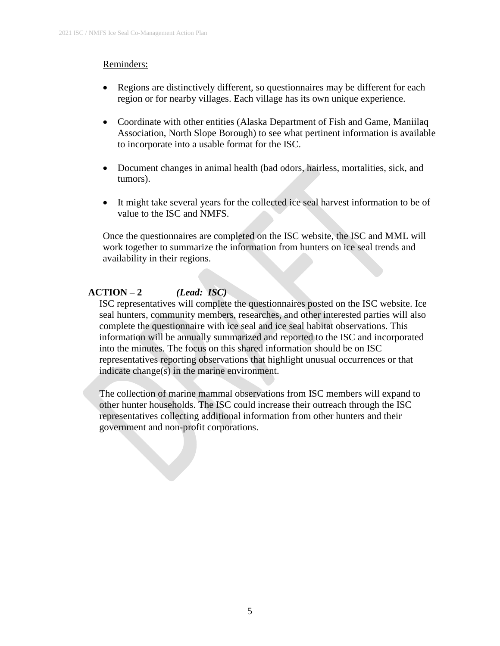## Reminders:

- Regions are distinctively different, so questionnaires may be different for each region or for nearby villages. Each village has its own unique experience.
- Coordinate with other entities (Alaska Department of Fish and Game, Maniilaq Association, North Slope Borough) to see what pertinent information is available to incorporate into a usable format for the ISC.
- Document changes in animal health (bad odors, hairless, mortalities, sick, and tumors).
- It might take several years for the collected ice seal harvest information to be of value to the ISC and NMFS.

Once the questionnaires are completed on the ISC website, the ISC and MML will work together to summarize the information from hunters on ice seal trends and availability in their regions.

# **ACTION – 2** *(Lead: ISC)*

ISC representatives will complete the questionnaires posted on the ISC website. Ice seal hunters, community members, researches, and other interested parties will also complete the questionnaire with ice seal and ice seal habitat observations. This information will be annually summarized and reported to the ISC and incorporated into the minutes. The focus on this shared information should be on ISC representatives reporting observations that highlight unusual occurrences or that indicate change(s) in the marine environment.

The collection of marine mammal observations from ISC members will expand to other hunter households. The ISC could increase their outreach through the ISC representatives collecting additional information from other hunters and their government and non-profit corporations.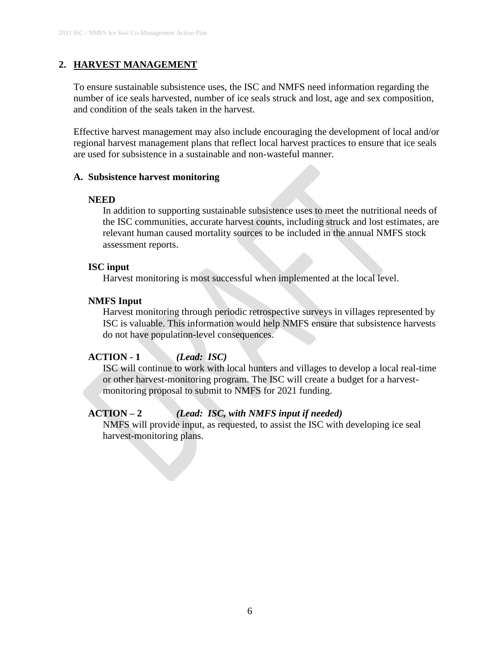# **2. HARVEST MANAGEMENT**

To ensure sustainable subsistence uses, the ISC and NMFS need information regarding the number of ice seals harvested, number of ice seals struck and lost, age and sex composition, and condition of the seals taken in the harvest.

Effective harvest management may also include encouraging the development of local and/or regional harvest management plans that reflect local harvest practices to ensure that ice seals are used for subsistence in a sustainable and non-wasteful manner.

#### **A. Subsistence harvest monitoring**

#### **NEED**

In addition to supporting sustainable subsistence uses to meet the nutritional needs of the ISC communities, accurate harvest counts, including struck and lost estimates, are relevant human caused mortality sources to be included in the annual NMFS stock assessment reports.

#### **ISC input**

Harvest monitoring is most successful when implemented at the local level.

## **NMFS Input**

Harvest monitoring through periodic retrospective surveys in villages represented by ISC is valuable. This information would help NMFS ensure that subsistence harvests do not have population-level consequences.

## **ACTION - 1** *(Lead: ISC)*

ISC will continue to work with local hunters and villages to develop a local real-time or other harvest-monitoring program. The ISC will create a budget for a harvestmonitoring proposal to submit to NMFS for 2021 funding.

## **ACTION – 2** *(Lead: ISC, with NMFS input if needed)*

NMFS will provide input, as requested, to assist the ISC with developing ice seal harvest-monitoring plans.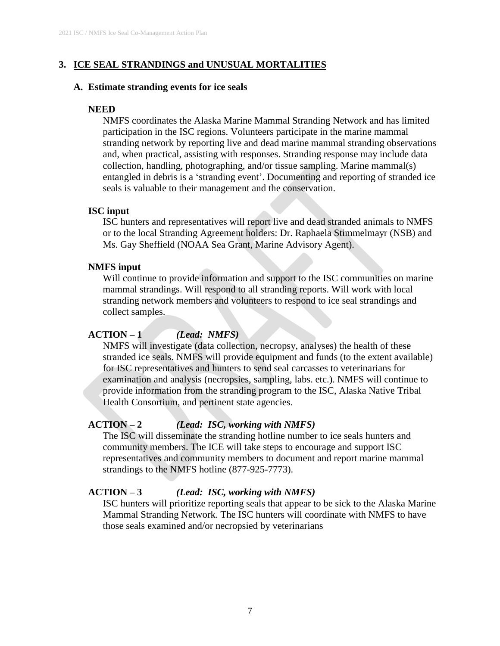# **3. ICE SEAL STRANDINGS and UNUSUAL MORTALITIES**

#### **A. Estimate stranding events for ice seals**

#### **NEED**

NMFS coordinates the Alaska Marine Mammal Stranding Network and has limited participation in the ISC regions. Volunteers participate in the marine mammal stranding network by reporting live and dead marine mammal stranding observations and, when practical, assisting with responses. Stranding response may include data collection, handling, photographing, and/or tissue sampling. Marine mammal(s) entangled in debris is a 'stranding event'. Documenting and reporting of stranded ice seals is valuable to their management and the conservation.

#### **ISC input**

ISC hunters and representatives will report live and dead stranded animals to NMFS or to the local Stranding Agreement holders: Dr. Raphaela Stimmelmayr (NSB) and Ms. Gay Sheffield (NOAA Sea Grant, Marine Advisory Agent).

# **NMFS input**

Will continue to provide information and support to the ISC communities on marine mammal strandings. Will respond to all stranding reports. Will work with local stranding network members and volunteers to respond to ice seal strandings and collect samples.

# **ACTION – 1** *(Lead: NMFS)*

NMFS will investigate (data collection, necropsy, analyses) the health of these stranded ice seals. NMFS will provide equipment and funds (to the extent available) for ISC representatives and hunters to send seal carcasses to veterinarians for examination and analysis (necropsies, sampling, labs. etc.). NMFS will continue to provide information from the stranding program to the ISC, Alaska Native Tribal Health Consortium, and pertinent state agencies.

## **ACTION – 2** *(Lead: ISC, working with NMFS)*

The ISC will disseminate the stranding hotline number to ice seals hunters and community members. The ICE will take steps to encourage and support ISC representatives and community members to document and report marine mammal strandings to the NMFS hotline (877-925-7773).

## **ACTION – 3** *(Lead: ISC, working with NMFS)*

ISC hunters will prioritize reporting seals that appear to be sick to the Alaska Marine Mammal Stranding Network. The ISC hunters will coordinate with NMFS to have those seals examined and/or necropsied by veterinarians